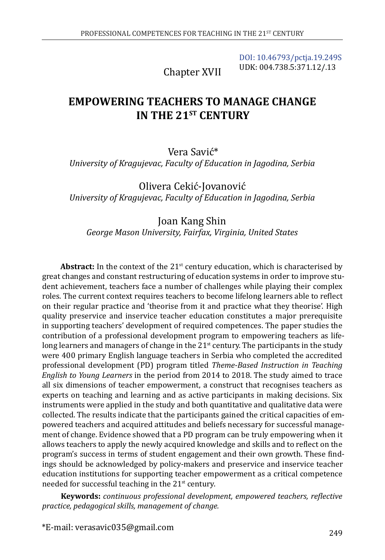[DOI: 10.46793/pctja.19.249S](https://doi.org/10.46793/pctja.19.249S) UDK: 004.738.5:371.12/.13

Chapter XVII

# **EMPOWERING TEACHERS TO MANAGE CHANGE IN THE 21ST CENTURY**

Vera Savić\* *University of Kragujevac, Faculty of Education in Jagodina, Serbia*

Olivera Cekić-Jovanović *University of Kragujevac, Faculty of Education in Jagodina, Serbia*

#### Joan Kang Shin *George Mason University, Fairfax, Virginia, United States*

Abstract: In the context of the 21<sup>st</sup> century education, which is characterised by great changes and constant restructuring of education systems in order to improve student achievement, teachers face a number of challenges while playing their complex roles. The current context requires teachers to become lifelong learners able to reflect on their regular practice and 'theorise from it and practice what they theorise'. High quality preservice and inservice teacher education constitutes a major prerequisite in supporting teachers' development of required competences. The paper studies the contribution of a professional development program to empowering teachers as lifelong learners and managers of change in the  $21<sup>st</sup>$  century. The participants in the study were 400 primary English language teachers in Serbia who completed the accredited professional development (PD) program titled *Theme-Based Instruction in Teaching English to Young Learners* in the period from 2014 to 2018. The study aimed to trace all six dimensions of teacher empowerment, a construct that recognises teachers as experts on teaching and learning and as active participants in making decisions. Six instruments were applied in the study and both quantitative and qualitative data were collected. The results indicate that the participants gained the critical capacities of empowered teachers and acquired attitudes and beliefs necessary for successful management of change. Evidence showed that a PD program can be truly empowering when it allows teachers to apply the newly acquired knowledge and skills and to reflect on the program's success in terms of student engagement and their own growth. These findings should be acknowledged by policy-makers and preservice and inservice teacher education institutions for supporting teacher empowerment as a critical competence needed for successful teaching in the  $21<sup>st</sup>$  century.

**Keywords:** *continuous professional development, empowered teachers, reflective practice, pedagogical skills, management of change.*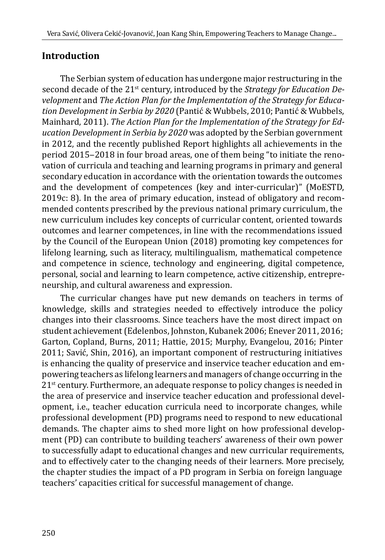# **Introduction**

The Serbian system of education has undergone major restructuring in the second decade of the 21<sup>st</sup> century, introduced by the *Strategy for Education Development* and *The Action Plan for the Implementation of the Strategy for Education Development in Serbia by 2020* (Pantić & Wubbels, 2010; Pantić & Wubbels, Mainhard, 2011). *The Action Plan for the Implementation of the Strategy for Education Development in Serbia by 2020* was adopted by the Serbian government in 2012, and the recently published Report highlights all achievements in the period 2015‒2018 in four broad areas, one of them being "to initiate the renovation of curricula and teaching and learning programs in primary and general secondary education in accordance with the orientation towards the outcomes and the development of competences (key and inter-curricular)" (MoESTD, 2019c: 8). In the area of primary education, instead of obligatory and recommended contents prescribed by the previous national primary curriculum, the new curriculum includes key concepts of curricular content, oriented towards outcomes and learner competences, in line with the recommendations issued by the Council of the European Union (2018) promoting key competences for lifelong learning, such as literacy, multilingualism, mathematical competence and competence in science, technology and engineering, digital competence, personal, social and learning to learn competence, active citizenship, entrepreneurship, and cultural awareness and expression.

The curricular changes have put new demands on teachers in terms of knowledge, skills and strategies needed to effectively introduce the policy changes into their classrooms. Since teachers have the most direct impact on student achievement (Edelenbos, Johnston, Kubanek 2006; Enever 2011, 2016; Garton, Copland, Burns, 2011; Hattie, 2015; Murphy, Evangelou, 2016; Pinter 2011; Savić, Shin, 2016), an important component of restructuring initiatives is enhancing the quality of preservice and inservice teacher education and empowering teachers as lifelong learners and managers of change occurring in the 21<sup>st</sup> century. Furthermore, an adequate response to policy changes is needed in the area of preservice and inservice teacher education and professional development, i.e., teacher education curricula need to incorporate changes, while professional development (PD) programs need to respond to new educational demands. The chapter aims to shed more light on how professional development (PD) can contribute to building teachers' awareness of their own power to successfully adapt to educational changes and new curricular requirements, and to effectively cater to the changing needs of their learners. More precisely, the chapter studies the impact of a PD program in Serbia on foreign language teachers' capacities critical for successful management of change.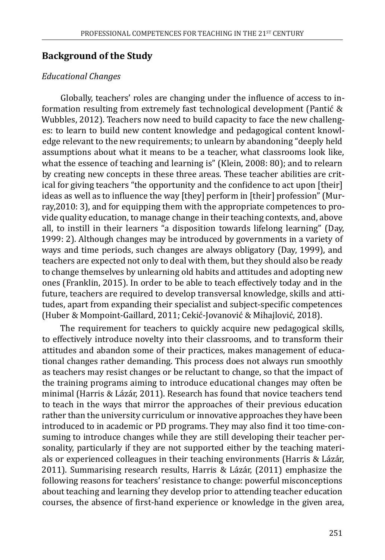#### **Background of the Study**

#### *Educational Changes*

Globally, teachers' roles are changing under the influence of access to information resulting from extremely fast technological development (Pantić & Wubbles, 2012). Teachers now need to build capacity to face the new challenges: to learn to build new content knowledge and pedagogical content knowledge relevant to the new requirements; to unlearn by abandoning "deeply held assumptions about what it means to be a teacher, what classrooms look like, what the essence of teaching and learning is" (Klein, 2008: 80); and to relearn by creating new concepts in these three areas. These teacher abilities are critical for giving teachers "the opportunity and the confidence to act upon [their] ideas as well as to influence the way [they] perform in [their] profession" (Murray,2010: 3), and for equipping them with the appropriate competences to provide quality education, to manage change in their teaching contexts, and, above all, to instill in their learners "a disposition towards lifelong learning" (Day, 1999: 2). Although changes may be introduced by governments in a variety of ways and time periods, such changes are always obligatory (Day, 1999), and teachers are expected not only to deal with them, but they should also be ready to change themselves by unlearning old habits and attitudes and adopting new ones (Franklin, 2015). In order to be able to teach effectively today and in the future, teachers are required to develop transversal knowledge, skills and attitudes, apart from expanding their specialist and subject-specific competences (Huber & Mompoint-Gaillard, 2011; Cekić-Jovanović & Mihajlović, 2018).

The requirement for teachers to quickly acquire new pedagogical skills, to effectively introduce novelty into their classrooms, and to transform their attitudes and abandon some of their practices, makes management of educational changes rather demanding. This process does not always run smoothly as teachers may resist changes or be reluctant to change, so that the impact of the training programs aiming to introduce educational changes may often be minimal (Harris & Lázár, 2011). Research has found that novice teachers tend to teach in the ways that mirror the approaches of their previous education rather than the university curriculum or innovative approaches they have been introduced to in academic or PD programs. They may also find it too time-consuming to introduce changes while they are still developing their teacher personality, particularly if they are not supported either by the teaching materials or experienced colleagues in their teaching environments (Harris & Lázár, 2011). Summarising research results, Harris & Lázár, (2011) emphasize the following reasons for teachers' resistance to change: powerful misconceptions about teaching and learning they develop prior to attending teacher education courses, the absence of first-hand experience or knowledge in the given area,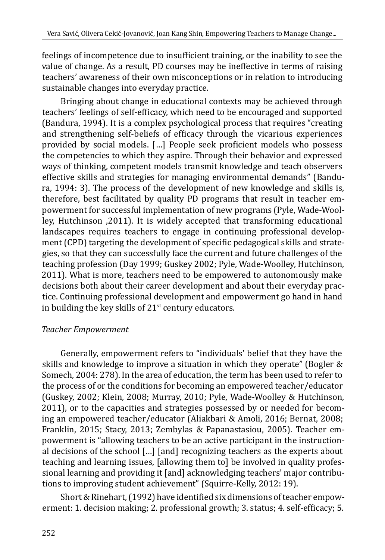feelings of incompetence due to insufficient training, or the inability to see the value of change. As a result, PD courses may be ineffective in terms of raising teachers' awareness of their own misconceptions or in relation to introducing sustainable changes into everyday practice.

Bringing about change in educational contexts may be achieved through teachers' feelings of self-efficacy, which need to be encouraged and supported (Bandura, 1994). It is a complex psychological process that requires "creating and strengthening self-beliefs of efficacy through the vicarious experiences provided by social models. […] People seek proficient models who possess the competencies to which they aspire. Through their behavior and expressed ways of thinking, competent models transmit knowledge and teach observers effective skills and strategies for managing environmental demands" (Bandura, 1994: 3). The process of the development of new knowledge and skills is, therefore, best facilitated by quality PD programs that result in teacher empowerment for successful implementation of new programs (Pyle, Wade-Woolley, Hutchinson ,2011). It is widely accepted that transforming educational landscapes requires teachers to engage in continuing professional development (CPD) targeting the development of specific pedagogical skills and strategies, so that they can successfully face the current and future challenges of the teaching profession (Day 1999; Guskey 2002; Pyle, Wade-Woolley, Hutchinson, 2011). What is more, teachers need to be empowered to autonomously make decisions both about their career development and about their everyday practice. Continuing professional development and empowerment go hand in hand in building the key skills of  $21<sup>st</sup>$  century educators.

#### *Teacher Empowerment*

Generally, empowerment refers to "individuals' belief that they have the skills and knowledge to improve a situation in which they operate" (Bogler & Somech, 2004: 278). In the area of education, the term has been used to refer to the process of or the conditions for becoming an empowered teacher/educator (Guskey, 2002; Klein, 2008; Murray, 2010; Pyle, Wade-Woolley & Hutchinson, 2011), or to the capacities and strategies possessed by or needed for becoming an empowered teacher/educator (Aliakbari & Amoli, 2016; Bernat, 2008; Franklin, 2015; Stacy, 2013; Zembylas & Papanastasiou, 2005). Teacher empowerment is "allowing teachers to be an active participant in the instructional decisions of the school […] [and] recognizing teachers as the experts about teaching and learning issues, [allowing them to] be involved in quality professional learning and providing it [and] acknowledging teachers' major contributions to improving student achievement" (Squirre-Kelly, 2012: 19).

Short & Rinehart, (1992) have identified six dimensions of teacher empowerment: 1. decision making; 2. professional growth; 3. status; 4. self-efficacy; 5.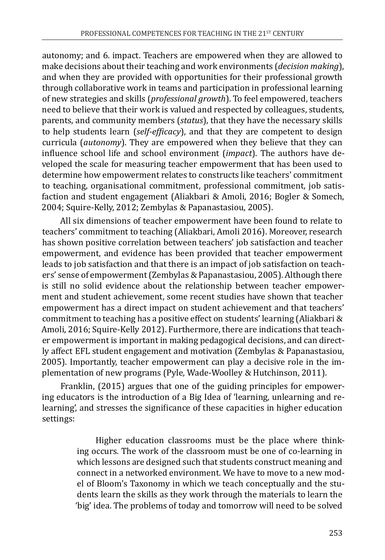autonomy; and 6. impact. Teachers are empowered when they are allowed to make decisions about their teaching and work environments (*decision making*), and when they are provided with opportunities for their professional growth through collaborative work in teams and participation in professional learning of new strategies and skills (*professional growth*). To feel empowered, teachers need to believe that their work is valued and respected by colleagues, students, parents, and community members (*status*), that they have the necessary skills to help students learn (*self-efficacy*), and that they are competent to design curricula (*autonomy*). They are empowered when they believe that they can influence school life and school environment (*impact*). The authors have developed the scale for measuring teacher empowerment that has been used to determine how empowerment relates to constructs like teachers' commitment to teaching, organisational commitment, professional commitment, job satisfaction and student engagement (Aliakbari & Amoli, 2016; Bogler & Somech, 2004; Squire-Kelly, 2012; Zembylas & Papanastasiou, 2005).

All six dimensions of teacher empowerment have been found to relate to teachers' commitment to teaching (Aliakbari, Amoli 2016). Moreover, research has shown positive correlation between teachers' job satisfaction and teacher empowerment, and evidence has been provided that teacher empowerment leads to job satisfaction and that there is an impact of job satisfaction on teachers' sense of empowerment (Zembylas & Papanastasiou, 2005). Although there is still no solid evidence about the relationship between teacher empowerment and student achievement, some recent studies have shown that teacher empowerment has a direct impact on student achievement and that teachers' commitment to teaching has a positive effect on students' learning (Aliakbari & Amoli, 2016; Squire-Kelly 2012). Furthermore, there are indications that teacher empowerment is important in making pedagogical decisions, and can directly affect EFL student engagement and motivation (Zembylas & Papanastasiou, 2005). Importantly, teacher empowerment can play a decisive role in the implementation of new programs (Pyle, Wade-Woolley & Hutchinson, 2011).

Franklin, (2015) argues that one of the guiding principles for empowering educators is the introduction of a Big Idea of 'learning, unlearning and relearning', and stresses the significance of these capacities in higher education settings:

> Higher education classrooms must be the place where thinking occurs. The work of the classroom must be one of co-learning in which lessons are designed such that students construct meaning and connect in a networked environment. We have to move to a new model of Bloom's Taxonomy in which we teach conceptually and the students learn the skills as they work through the materials to learn the 'big' idea. The problems of today and tomorrow will need to be solved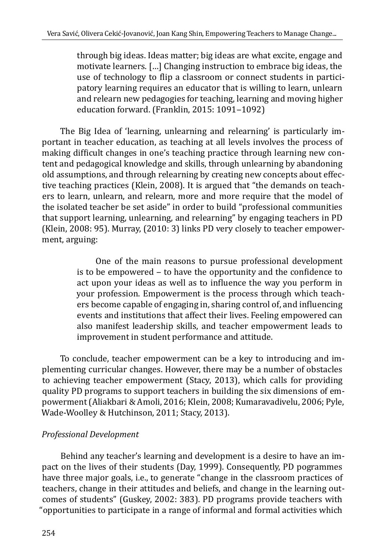through big ideas. Ideas matter; big ideas are what excite, engage and motivate learners. […] Changing instruction to embrace big ideas, the use of technology to flip a classroom or connect students in participatory learning requires an educator that is willing to learn, unlearn and relearn new pedagogies for teaching, learning and moving higher education forward. (Franklin, 2015: 1091-1092)

The Big Idea of 'learning, unlearning and relearning' is particularly important in teacher education, as teaching at all levels involves the process of making difficult changes in one's teaching practice through learning new content and pedagogical knowledge and skills, through unlearning by abandoning old assumptions, and through relearning by creating new concepts about effective teaching practices (Klein, 2008). It is argued that "the demands on teachers to learn, unlearn, and relearn, more and more require that the model of the isolated teacher be set aside" in order to build "professional communities that support learning, unlearning, and relearning" by engaging teachers in PD (Klein, 2008: 95). Murray, (2010: 3) links PD very closely to teacher empowerment, arguing:

> One of the main reasons to pursue professional development is to be empowered – to have the opportunity and the confidence to act upon your ideas as well as to influence the way you perform in your profession. Empowerment is the process through which teachers become capable of engaging in, sharing control of, and influencing events and institutions that affect their lives. Feeling empowered can also manifest leadership skills, and teacher empowerment leads to improvement in student performance and attitude.

To conclude, teacher empowerment can be a key to introducing and implementing curricular changes. However, there may be a number of obstacles to achieving teacher empowerment (Stacy, 2013), which calls for providing quality PD programs to support teachers in building the six dimensions of empowerment (Aliakbari & Amoli, 2016; Klein, 2008; Kumaravadivelu, 2006; Pyle, Wade-Woolley & Hutchinson, 2011; Stacy, 2013).

### *Professional Development*

Behind any teacher's learning and development is a desire to have an impact on the lives of their students (Day, 1999). Consequently, PD pogrammes have three major goals, i.e., to generate "change in the classroom practices of teachers, change in their attitudes and beliefs, and change in the learning outcomes of students" (Guskey, 2002: 383). PD programs provide teachers with "opportunities to participate in a range of informal and formal activities which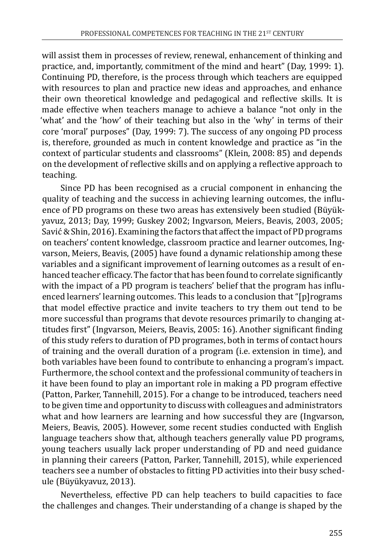will assist them in processes of review, renewal, enhancement of thinking and practice, and, importantly, commitment of the mind and heart" (Day, 1999: 1). Continuing PD, therefore, is the process through which teachers are equipped with resources to plan and practice new ideas and approaches, and enhance their own theoretical knowledge and pedagogical and reflective skills. It is made effective when teachers manage to achieve a balance "not only in the 'what' and the 'how' of their teaching but also in the 'why' in terms of their core 'moral' purposes" (Day, 1999: 7). The success of any ongoing PD process is, therefore, grounded as much in content knowledge and practice as "in the context of particular students and classrooms" (Klein, 2008: 85) and depends on the development of reflective skills and on applying a reflective approach to teaching.

Since PD has been recognised as a crucial component in enhancing the quality of teaching and the success in achieving learning outcomes, the influence of PD programs on these two areas has extensively been studied (Büyükyavuz, 2013; Day, 1999; Guskey 2002; Ingvarson, Meiers, Beavis, 2003, 2005; Savić & Shin, 2016). Examining the factors that affect the impact of PD programs on teachers' content knowledge, classroom practice and learner outcomes, Ingvarson, Meiers, Beavis, (2005) have found a dynamic relationship among these variables and a significant improvement of learning outcomes as a result of enhanced teacher efficacy. The factor that has been found to correlate significantly with the impact of a PD program is teachers' belief that the program has influenced learners' learning outcomes. This leads to a conclusion that "[p]rograms that model effective practice and invite teachers to try them out tend to be more successful than programs that devote resources primarily to changing attitudes first" (Ingvarson, Meiers, Beavis, 2005: 16). Another significant finding of this study refers to duration of PD programes, both in terms of contact hours of training and the overall duration of a program (i.e. extension in time), and both variables have been found to contribute to enhancing a program's impact. Furthermore, the school context and the professional community of teachers in it have been found to play an important role in making a PD program effective (Patton, Parker, Tannehill, 2015). For a change to be introduced, teachers need to be given time and opportunity to discuss with colleagues and administrators what and how learners are learning and how successful they are (Ingvarson, Meiers, Beavis, 2005). However, some recent studies conducted with English language teachers show that, although teachers generally value PD programs, young teachers usually lack proper understanding of PD and need guidance in planning their careers (Patton, Parker, Tannehill, 2015), while experienced teachers see a number of obstacles to fitting PD activities into their busy schedule (Büyükyavuz, 2013).

Nevertheless, effective PD can help teachers to build capacities to face the challenges and changes. Their understanding of a change is shaped by the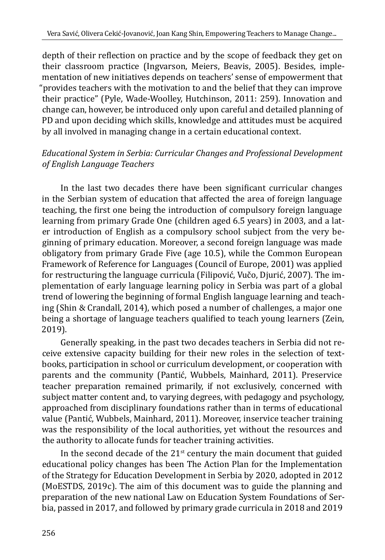depth of their reflection on practice and by the scope of feedback they get on their classroom practice (Ingvarson, Meiers, Beavis, 2005). Besides, implementation of new initiatives depends on teachers' sense of empowerment that "provides teachers with the motivation to and the belief that they can improve their practice" (Pyle, Wade-Woolley, Hutchinson, 2011: 259). Innovation and change can, however, be introduced only upon careful and detailed planning of PD and upon deciding which skills, knowledge and attitudes must be acquired by all involved in managing change in a certain educational context.

### *Educational System in Serbia: Curricular Changes and Professional Development of English Language Teachers*

In the last two decades there have been significant curricular changes in the Serbian system of education that affected the area of foreign language teaching, the first one being the introduction of compulsory foreign language learning from primary Grade One (children aged 6.5 years) in 2003, and a later introduction of English as a compulsory school subject from the very beginning of primary education. Moreover, a second foreign language was made obligatory from primary Grade Five (age 10.5), while the Common European Framework of Reference for Languages (Council of Europe, 2001) was applied for restructuring the language curricula (Filipović, Vučo, Djurić, 2007). The implementation of early language learning policy in Serbia was part of a global trend of lowering the beginning of formal English language learning and teaching (Shin & Crandall, 2014), which posed a number of challenges, a major one being a shortage of language teachers qualified to teach young learners (Zein, 2019).

Generally speaking, in the past two decades teachers in Serbia did not receive extensive capacity building for their new roles in the selection of textbooks, participation in school or curriculum development, or cooperation with parents and the community (Pantić, Wubbels, Mainhard, 2011). Preservice teacher preparation remained primarily, if not exclusively, concerned with subject matter content and, to varying degrees, with pedagogy and psychology, approached from disciplinary foundations rather than in terms of educational value (Pantić, Wubbels, Mainhard, 2011). Moreover, inservice teacher training was the responsibility of the local authorities, yet without the resources and the authority to allocate funds for teacher training activities.

In the second decade of the  $21<sup>st</sup>$  century the main document that guided educational policy changes has been The Action Plan for the Implementation of the Strategy for Education Development in Serbia by 2020, adopted in 2012 (MoESTDS, 2019c). The aim of this document was to guide the planning and preparation of the new national Law on Education System Foundations of Serbia, passed in 2017, and followed by primary grade curricula in 2018 and 2019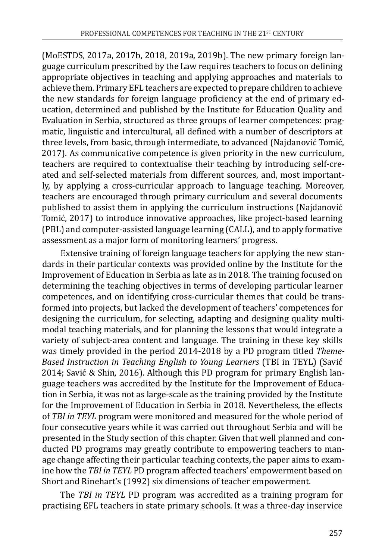(MoESTDS, 2017a, 2017b, 2018, 2019a, 2019b). The new primary foreign language curriculum prescribed by the Law requires teachers to focus on defining appropriate objectives in teaching and applying approaches and materials to achieve them. Primary EFL teachers are expected to prepare children to achieve the new standards for foreign language proficiency at the end of primary education, determined and published by the Institute for Education Quality and Evaluation in Serbia, structured as three groups of learner competences: pragmatic, linguistic and intercultural, all defined with a number of descriptors at three levels, from basic, through intermediate, to advanced (Najdanović Tomić, 2017). As communicative competence is given priority in the new curriculum, teachers are required to contextualise their teaching by introducing self-created and self-selected materials from different sources, and, most importantly, by applying a cross-curricular approach to language teaching. Moreover, teachers are encouraged through primary curriculum and several documents published to assist them in applying the curriculum instructions (Najdanović Tomić, 2017) to introduce innovative approaches, like project-based learning (PBL) and computer-assisted language learning (CALL), and to apply formative assessment as a major form of monitoring learners' progress.

Extensive training of foreign language teachers for applying the new standards in their particular contexts was provided online by the Institute for the Improvement of Education in Serbia as late as in 2018. The training focused on determining the teaching objectives in terms of developing particular learner competences, and on identifying cross-curricular themes that could be transformed into projects, but lacked the development of teachers' competences for designing the curriculum, for selecting, adapting and designing quality multimodal teaching materials, and for planning the lessons that would integrate a variety of subject-area content and language. The training in these key skills was timely provided in the period 2014-2018 by a PD program titled *Theme-Based Instruction in Teaching English to Young Learners* (TBI in TEYL) (Savić 2014; Savić & Shin, 2016). Although this PD program for primary English language teachers was accredited by the Institute for the Improvement of Education in Serbia, it was not as large-scale as the training provided by the Institute for the Improvement of Education in Serbia in 2018. Nevertheless, the effects of *TBI in TEYL* program were monitored and measured for the whole period of four consecutive years while it was carried out throughout Serbia and will be presented in the Study section of this chapter. Given that well planned and conducted PD programs may greatly contribute to empowering teachers to manage change affecting their particular teaching contexts, the paper aims to examine how the *TBI in TEYL* PD program affected teachers' empowerment based on Short and Rinehart's (1992) six dimensions of teacher empowerment.

The *TBI in TEYL* PD program was accredited as a training program for practising EFL teachers in state primary schools. It was a three-day inservice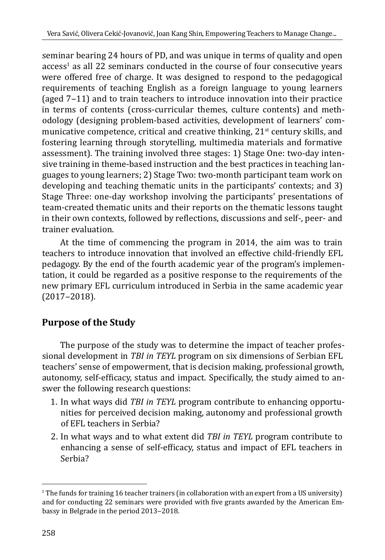seminar bearing 24 hours of PD, and was unique in terms of quality and open access<sup>1</sup> as all 22 seminars conducted in the course of four consecutive years were offered free of charge. It was designed to respond to the pedagogical requirements of teaching English as a foreign language to young learners (aged  $7-11$ ) and to train teachers to introduce innovation into their practice in terms of contents (cross-curricular themes, culture contents) and methodology (designing problem-based activities, development of learners' communicative competence, critical and creative thinking,  $21<sup>st</sup>$  century skills, and fostering learning through storytelling, multimedia materials and formative assessment). The training involved three stages: 1) Stage One: two-day intensive training in theme-based instruction and the best practices in teaching languages to young learners; 2) Stage Two: two-month participant team work on developing and teaching thematic units in the participants' contexts; and 3) Stage Three: one-day workshop involving the participants' presentations of team-created thematic units and their reports on the thematic lessons taught in their own contexts, followed by reflections, discussions and self-, peer- and trainer evaluation.

At the time of commencing the program in 2014, the aim was to train teachers to introduce innovation that involved an effective child-friendly EFL pedagogy. By the end of the fourth academic year of the program's implementation, it could be regarded as a positive response to the requirements of the new primary EFL curriculum introduced in Serbia in the same academic year  $(2017 - 2018).$ 

# **Purpose of the Study**

The purpose of the study was to determine the impact of teacher professional development in *TBI in TEYL* program on six dimensions of Serbian EFL teachers' sense of empowerment, that is decision making, professional growth, autonomy, self-efficacy, status and impact. Specifically, the study aimed to answer the following research questions:

- 1. In what ways did *TBI in TEYL* program contribute to enhancing opportunities for perceived decision making, autonomy and professional growth of EFL teachers in Serbia?
- 2. In what ways and to what extent did *TBI in TEYL* program contribute to enhancing a sense of self-efficacy, status and impact of EFL teachers in Serbia?

<sup>1</sup> The funds for training 16 teacher trainers (in collaboration with an expert from a US university) and for conducting 22 seminars were provided with five grants awarded by the American Embassy in Belgrade in the period 2013-2018.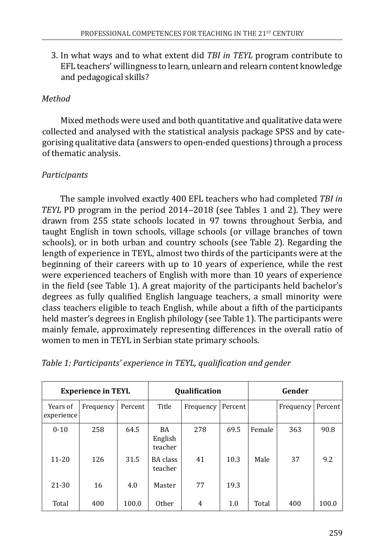3. In what ways and to what extent did *TBI in TEYL* program contribute to EFL teachers' willingness to learn, unlearn and relearn content knowledge and pedagogical skills?

### *Method*

Mixed methods were used and both quantitative and qualitative data were collected and analysed with the statistical analysis package SPSS and by categorising qualitative data (answers to open-ended questions) through a process of thematic analysis.

### *Participants*

The sample involved exactly 400 EFL teachers who had completed *TBI in TEYL* PD program in the period 2014–2018 (see Tables 1 and 2). They were drawn from 255 state schools located in 97 towns throughout Serbia, and taught English in town schools, village schools (or village branches of town schools), or in both urban and country schools (see Table 2). Regarding the length of experience in TEYL, almost two thirds of the participants were at the beginning of their careers with up to 10 years of experience, while the rest were experienced teachers of English with more than 10 years of experience in the field (see Table 1). A great majority of the participants held bachelor's degrees as fully qualified English language teachers, a small minority were class teachers eligible to teach English, while about a fifth of the participants held master's degrees in English philology (see Table 1). The participants were mainly female, approximately representing differences in the overall ratio of women to men in TEYL in Serbian state primary schools.

| <b>Experience in TEYL</b> |           |         |                          | <b>Qualification</b> |         | Gender |           |         |
|---------------------------|-----------|---------|--------------------------|----------------------|---------|--------|-----------|---------|
| Years of<br>experience    | Frequency | Percent | Title                    | Frequency            | Percent |        | Frequency | Percent |
| $0 - 10$                  | 258       | 64.5    | BA<br>English<br>teacher | 278                  | 69.5    | Female | 363       | 90.8    |
| $11 - 20$                 | 126       | 31.5    | BA class<br>teacher      | 41                   | 10.3    | Male   | 37        | 9.2     |
| $21 - 30$                 | 16        | 4.0     | Master                   | 77                   | 19.3    |        |           |         |
| Total                     | 400       | 100.0   | Other                    | $\overline{4}$       | 1.0     | Total  | 400       | 100.0   |

*Table 1: Participants' experience in TEYL, qualification and gender*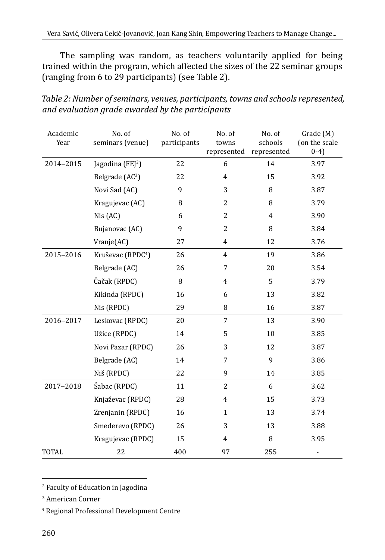The sampling was random, as teachers voluntarily applied for being trained within the program, which affected the sizes of the 22 seminar groups (ranging from 6 to 29 participants) (see Table 2).

| Academic<br>Year | No. of<br>seminars (venue)    | No. of<br>participants | No. of<br>towns<br>represented | No. of<br>schools<br>represented | Grade (M)<br>(on the scale<br>$(0-4)$ |
|------------------|-------------------------------|------------------------|--------------------------------|----------------------------------|---------------------------------------|
| 2014-2015        | Jagodina (FEJ <sup>2</sup> )  | 22                     | 6                              | 14                               | 3.97                                  |
|                  | Belgrade (AC <sup>3</sup> )   | 22                     | 4                              | 15                               | 3.92                                  |
|                  | Novi Sad (AC)                 | 9                      | 3                              | 8                                | 3.87                                  |
|                  | Kragujevac (AC)               | 8                      | 2                              | 8                                | 3.79                                  |
|                  | Nis(AC)                       | 6                      | 2                              | 4                                | 3.90                                  |
|                  | Bujanovac (AC)                | 9                      | 2                              | 8                                | 3.84                                  |
|                  | Vranje(AC)                    | 27                     | 4                              | 12                               | 3.76                                  |
| 2015-2016        | Kruševac (RPDC <sup>4</sup> ) | 26                     | 4                              | 19                               | 3.86                                  |
|                  | Belgrade (AC)                 | 26                     | 7                              | 20                               | 3.54                                  |
|                  | Čačak (RPDC)                  | 8                      | 4                              | 5                                | 3.79                                  |
|                  | Kikinda (RPDC)                | 16                     | 6                              | 13                               | 3.82                                  |
|                  | Nis (RPDC)                    | 29                     | 8                              | 16                               | 3.87                                  |
| 2016-2017        | Leskovac (RPDC)               | 20                     | 7                              | 13                               | 3.90                                  |
|                  | Užice (RPDC)                  | 14                     | 5                              | 10                               | 3.85                                  |
|                  | Novi Pazar (RPDC)             | 26                     | 3                              | 12                               | 3.87                                  |
|                  | Belgrade (AC)                 | 14                     | 7                              | 9                                | 3.86                                  |
|                  | Niš (RPDC)                    | 22                     | 9                              | 14                               | 3.85                                  |
| 2017-2018        | Šabac (RPDC)                  | 11                     | 2                              | 6                                | 3.62                                  |
|                  | Knjaževac (RPDC)              | 28                     | 4                              | 15                               | 3.73                                  |
|                  | Zrenjanin (RPDC)              | 16                     | $\mathbf{1}$                   | 13                               | 3.74                                  |
|                  | Smederevo (RPDC)              | 26                     | 3                              | 13                               | 3.88                                  |
|                  | Kragujevac (RPDC)             | 15                     | $\overline{4}$                 | 8                                | 3.95                                  |
| <b>TOTAL</b>     | 22                            | 400                    | 97                             | 255                              | $\frac{1}{2}$                         |

*Table 2: Number of seminars, venues, participants, towns and schools represented, and evaluation grade awarded by the participants*

<sup>2</sup> Faculty of Education in Jagodina

<sup>3</sup> American Corner

<sup>4</sup> Regional Professional Development Centre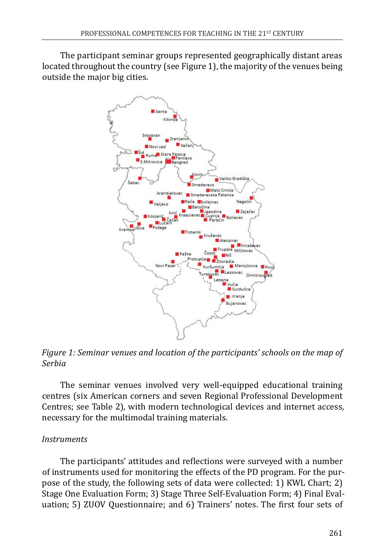The participant seminar groups represented geographically distant areas located throughout the country (see Figure 1), the majority of the venues being outside the major big cities.



*Figure 1: Seminar venues and location of the participants' schools on the map of Serbia*

The seminar venues involved very well-equipped educational training centres (six American corners and seven Regional Professional Development Centres; see Table 2), with modern technological devices and internet access, necessary for the multimodal training materials.

#### *Instruments*

The participants' attitudes and reflections were surveyed with a number of instruments used for monitoring the effects of the PD program. For the purpose of the study, the following sets of data were collected: 1) KWL Chart; 2) Stage One Evaluation Form; 3) Stage Three Self-Evaluation Form; 4) Final Evaluation; 5) ZUOV Questionnaire; and 6) Trainers' notes. The first four sets of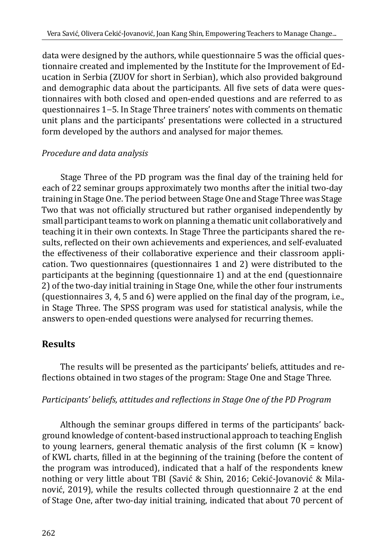data were designed by the authors, while questionnaire 5 was the official questionnaire created and implemented by the Institute for the Improvement of Education in Serbia (ZUOV for short in Serbian), which also provided bakground and demographic data about the participants. All five sets of data were questionnaires with both closed and open-ended questions and are referred to as questionnaires 1–5. In Stage Three trainers' notes with comments on thematic unit plans and the participants' presentations were collected in a structured form developed by the authors and analysed for major themes.

### *Procedure and data analysis*

Stage Three of the PD program was the final day of the training held for each of 22 seminar groups approximately two months after the initial two-day training in Stage One. The period between Stage One and Stage Three was Stage Two that was not officially structured but rather organised independently by small participant teams to work on planning a thematic unit collaboratively and teaching it in their own contexts. In Stage Three the participants shared the results, reflected on their own achievements and experiences, and self-evaluated the effectiveness of their collaborative experience and their classroom application. Two questionnaires (questionnaires 1 and 2) were distributed to the participants at the beginning (questionnaire 1) and at the end (questionnaire 2) of the two-day initial training in Stage One, while the other four instruments (questionnaires 3, 4, 5 and 6) were applied on the final day of the program, i.e., in Stage Three. The SPSS program was used for statistical analysis, while the answers to open-ended questions were analysed for recurring themes.

# **Results**

The results will be presented as the participants' beliefs, attitudes and reflections obtained in two stages of the program: Stage One and Stage Three.

### *Participants' beliefs, attitudes and reflections in Stage One of the PD Program*

Although the seminar groups differed in terms of the participants' background knowledge of content-based instructional approach to teaching English to young learners, general thematic analysis of the first column  $(K = \text{know})$ of KWL charts, filled in at the beginning of the training (before the content of the program was introduced), indicated that a half of the respondents knew nothing or very little about TBI (Savić & Shin, 2016; Cekić-Jovanović & Milanović, 2019), while the results collected through questionnaire 2 at the end of Stage One, after two-day initial training, indicated that about 70 percent of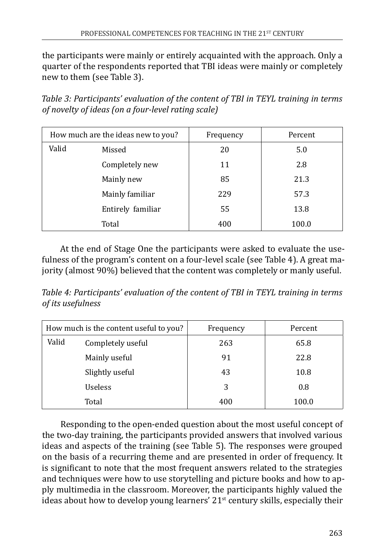the participants were mainly or entirely acquainted with the approach. Only a quarter of the respondents reported that TBI ideas were mainly or completely new to them (see Table 3).

*Table 3: Participants' evaluation of the content of TBI in TEYL training in terms of novelty of ideas (on a four-level rating scale)*

| How much are the ideas new to you? |                   | Frequency | Percent |
|------------------------------------|-------------------|-----------|---------|
| Valid                              | Missed            | 20        | 5.0     |
|                                    | Completely new    | 11        | 2.8     |
|                                    | Mainly new        | 85        | 21.3    |
|                                    | Mainly familiar   | 229       | 57.3    |
|                                    | Entirely familiar | 55        | 13.8    |
|                                    | Total             | 400       | 100.0   |

At the end of Stage One the participants were asked to evaluate the usefulness of the program's content on a four-level scale (see Table 4). A great majority (almost 90%) believed that the content was completely or manly useful.

*Table 4: Participants' evaluation of the content of TBI in TEYL training in terms of its usefulness*

| How much is the content useful to you?     |                   | Frequency | Percent |
|--------------------------------------------|-------------------|-----------|---------|
| Valid                                      | Completely useful | 263       | 65.8    |
| Mainly useful                              |                   | 91        | 22.8    |
| Slightly useful<br><b>Useless</b><br>Total |                   | 43        | 10.8    |
|                                            |                   | 3         | 0.8     |
|                                            |                   | 400       | 100.0   |

Responding to the open-ended question about the most useful concept of the two-day training, the participants provided answers that involved various ideas and aspects of the training (see Table 5). The responses were grouped on the basis of a recurring theme and are presented in order of frequency. It is significant to note that the most frequent answers related to the strategies and techniques were how to use storytelling and picture books and how to apply multimedia in the classroom. Moreover, the participants highly valued the ideas about how to develop young learners'  $21<sup>st</sup>$  century skills, especially their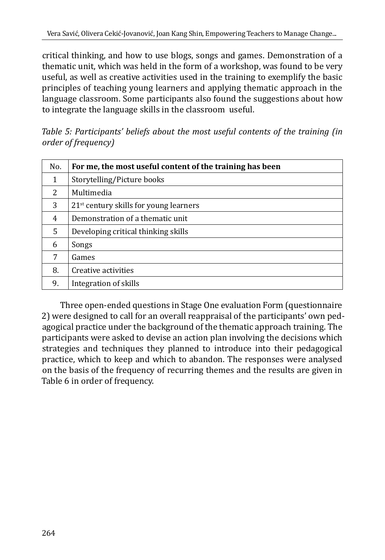critical thinking, and how to use blogs, songs and games. Demonstration of a thematic unit, which was held in the form of a workshop, was found to be very useful, as well as creative activities used in the training to exemplify the basic principles of teaching young learners and applying thematic approach in the language classroom. Some participants also found the suggestions about how to integrate the language skills in the classroom useful.

*Table 5: Participants' beliefs about the most useful contents of the training (in order of frequency)*

| No. | For me, the most useful content of the training has been |
|-----|----------------------------------------------------------|
| 1   | Storytelling/Picture books                               |
| 2   | Multimedia                                               |
| 3   | $21st$ century skills for young learners                 |
| 4   | Demonstration of a thematic unit                         |
| 5   | Developing critical thinking skills                      |
| 6   | Songs                                                    |
| 7   | Games                                                    |
| 8.  | Creative activities                                      |
| 9.  | Integration of skills                                    |

Three open-ended questions in Stage One evaluation Form (questionnaire 2) were designed to call for an overall reappraisal of the participants' own pedagogical practice under the background of the thematic approach training. The participants were asked to devise an action plan involving the decisions which strategies and techniques they planned to introduce into their pedagogical practice, which to keep and which to abandon. The responses were analysed on the basis of the frequency of recurring themes and the results are given in Table 6 in order of frequency.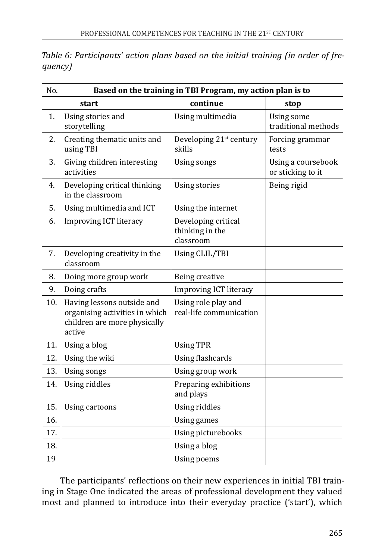| No. | Based on the training in TBI Program, my action plan is to |                                                     |                                         |  |  |
|-----|------------------------------------------------------------|-----------------------------------------------------|-----------------------------------------|--|--|
|     | start                                                      | continue                                            | stop                                    |  |  |
| 1.  | Using stories and<br>storytelling                          | Using multimedia                                    | Using some<br>traditional methods       |  |  |
| 2.  | Creating thematic units and<br>using TBI                   | Developing $21^{st}$ century<br>skills              | Forcing grammar<br>tests                |  |  |
| 3.  | Giving children interesting<br>activities                  | Using songs                                         | Using a coursebook<br>or sticking to it |  |  |
| 4.  | Developing critical thinking<br>in the classroom           | Using stories                                       | Being rigid                             |  |  |
| 5.  | Using multimedia and ICT                                   | Using the internet                                  |                                         |  |  |
| 6.  | <b>Improving ICT literacy</b>                              | Developing critical<br>thinking in the<br>classroom |                                         |  |  |

Using CLIL/TBI

Using role play and real-life communication

7. Developing creativity in the

10. Having lessons outside and organising activities in which children are more physically

8. Doing more group work Being creative

11. Using a blog Using TPR

12. Using the wiki Using flashcards 13. Using songs Using group work 14. Using riddles **Preparing exhibitions** 

15. Using cartoons Using riddles 16. Using games

18. Using a blog 19 | Using poems

17.

9. Doing crafts Improving ICT literacy

classroom

active

*Table 6: Participants' action plans based on the initial training (in order of frequency)*

The participants' reflections on their new experiences in initial TBI training in Stage One indicated the areas of professional development they valued most and planned to introduce into their everyday practice ('start'), which

and plays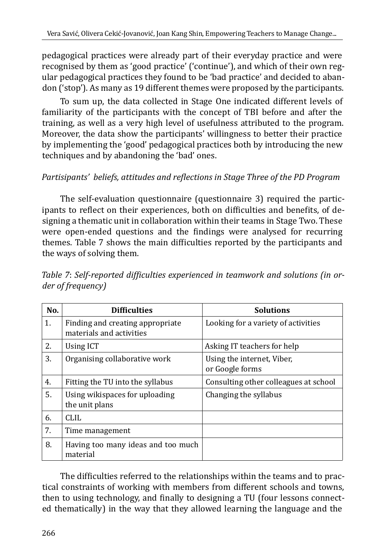pedagogical practices were already part of their everyday practice and were recognised by them as 'good practice' ('continue'), and which of their own regular pedagogical practices they found to be 'bad practice' and decided to abandon ('stop'). As many as 19 different themes were proposed by the participants.

To sum up, the data collected in Stage One indicated different levels of familiarity of the participants with the concept of TBI before and after the training, as well as a very high level of usefulness attributed to the program. Moreover, the data show the participants' willingness to better their practice by implementing the 'good' pedagogical practices both by introducing the new techniques and by abandoning the 'bad' ones.

### *Partisipants' beliefs, attitudes and reflections in Stage Three of the PD Program*

The self-evaluation questionnaire (questionnaire 3) required the participants to reflect on their experiences, both on difficulties and benefits, of designing a thematic unit in collaboration within their teams in Stage Two. These were open-ended questions and the findings were analysed for recurring themes. Table 7 shows the main difficulties reported by the participants and the ways of solving them.

| No. | <b>Difficulties</b>                                          | <b>Solutions</b>                              |
|-----|--------------------------------------------------------------|-----------------------------------------------|
| 1.  | Finding and creating appropriate<br>materials and activities | Looking for a variety of activities           |
| 2.  | Using ICT                                                    | Asking IT teachers for help                   |
| 3.  | Organising collaborative work                                | Using the internet, Viber,<br>or Google forms |
| 4.  | Fitting the TU into the syllabus                             | Consulting other colleagues at school         |
| 5.  | Using wikispaces for uploading<br>the unit plans             | Changing the syllabus                         |
| 6.  | <b>CLIL</b>                                                  |                                               |
| 7.  | Time management                                              |                                               |
| 8.  | Having too many ideas and too much<br>material               |                                               |

*Table 7*: *Self-reported difficulties experienced in teamwork and solutions (in order of frequency)*

The difficulties referred to the relationships within the teams and to practical constraints of working with members from different schools and towns, then to using technology, and finally to designing a TU (four lessons connected thematically) in the way that they allowed learning the language and the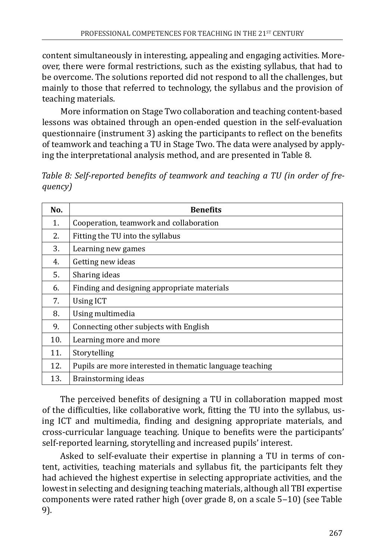content simultaneously in interesting, appealing and engaging activities. Moreover, there were formal restrictions, such as the existing syllabus, that had to be overcome. The solutions reported did not respond to all the challenges, but mainly to those that referred to technology, the syllabus and the provision of teaching materials.

More information on Stage Two collaboration and teaching content-based lessons was obtained through an open-ended question in the self-evaluation questionnaire (instrument 3) asking the participants to reflect on the benefits of teamwork and teaching a TU in Stage Two. The data were analysed by applying the interpretational analysis method, and are presented in Table 8.

*Table 8: Self-reported benefits of teamwork and teaching a TU (in order of frequency)*

| No. | <b>Benefits</b>                                          |
|-----|----------------------------------------------------------|
| 1.  | Cooperation, teamwork and collaboration                  |
| 2.  | Fitting the TU into the syllabus                         |
| 3.  | Learning new games                                       |
| 4.  | Getting new ideas                                        |
| 5.  | Sharing ideas                                            |
| 6.  | Finding and designing appropriate materials              |
| 7.  | <b>Using ICT</b>                                         |
| 8.  | Using multimedia                                         |
| 9.  | Connecting other subjects with English                   |
| 10. | Learning more and more                                   |
| 11. | Storytelling                                             |
| 12. | Pupils are more interested in thematic language teaching |
| 13. | Brainstorming ideas                                      |

The perceived benefits of designing a TU in collaboration mapped most of the difficulties, like collaborative work, fitting the TU into the syllabus, using ICT and multimedia, finding and designing appropriate materials, and cross-curricular language teaching. Unique to benefits were the participants' self-reported learning, storytelling and increased pupils' interest.

Asked to self-evaluate their expertise in planning a TU in terms of content, activities, teaching materials and syllabus fit, the participants felt they had achieved the highest expertise in selecting appropriate activities, and the lowest in selecting and designing teaching materials, although all TBI expertise components were rated rather high (over grade 8, on a scale 5–10) (see Table 9).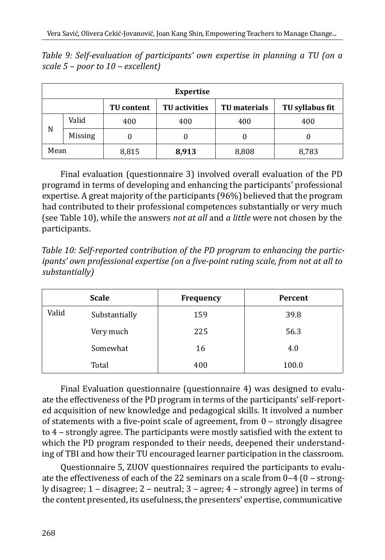| <b>Expertise</b> |                                                                                     |       |       |       |       |  |
|------------------|-------------------------------------------------------------------------------------|-------|-------|-------|-------|--|
|                  | TU syllabus fit<br><b>TU</b> activities<br><b>TU</b> materials<br><b>TU</b> content |       |       |       |       |  |
| N                | Valid                                                                               | 400   | 400   | 400   | 400   |  |
|                  | <b>Missing</b>                                                                      | O     |       | 0     |       |  |
| Mean             |                                                                                     | 8,815 | 8,913 | 8,808 | 8,783 |  |

*Table 9: Self-evaluation of participants' own expertise in planning a TU (on a scale 5 ‒ poor to 10 ‒ excellent)*

Final evaluation (questionnaire 3) involved overall evaluation of the PD programd in terms of developing and enhancing the participants' professional expertise. A great majority of the participants (96%) believed that the program had contributed to their professional competences substantially or very much (see Table 10), while the answers *not at all* and *a little* were not chosen by the participants.

*Table 10: Self-reported contribution of the PD program to enhancing the participants' own professional expertise (on a five-point rating scale, from not at all to substantially)*

| <b>Scale</b> |               | <b>Frequency</b> | Percent |
|--------------|---------------|------------------|---------|
| Valid        | Substantially | 159              | 39.8    |
|              | Very much     | 225              | 56.3    |
|              | Somewhat      | 16               | 4.0     |
|              | Total         | 400              | 100.0   |

Final Evaluation questionnaire (questionnaire 4) was designed to evaluate the effectiveness of the PD program in terms of the participants' self-reported acquisition of new knowledge and pedagogical skills. It involved a number of statements with a five-point scale of agreement, from 0 - strongly disagree to 4 – strongly agree. The participants were mostly satisfied with the extent to which the PD program responded to their needs, deepened their understanding of TBI and how their TU encouraged learner participation in the classroom.

Questionnaire 5, ZUOV questionnaires required the participants to evaluate the effectiveness of each of the 22 seminars on a scale from  $0-4$  ( $0-$  strongly disagree;  $1$  – disagree;  $2$  – neutral;  $3$  – agree;  $4$  – strongly agree) in terms of the content presented, its usefulness, the presenters' expertise, communicative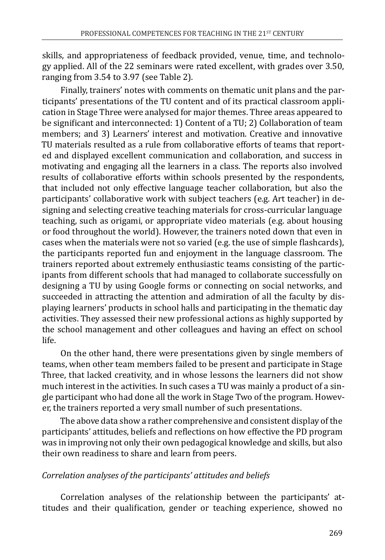skills, and appropriateness of feedback provided, venue, time, and technology applied. All of the 22 seminars were rated excellent, with grades over 3.50, ranging from 3.54 to 3.97 (see Table 2).

Finally, trainers' notes with comments on thematic unit plans and the participants' presentations of the TU content and of its practical classroom application in Stage Three were analysed for major themes. Three areas appeared to be significant and interconnected: 1) Content of a TU; 2) Collaboration of team members; and 3) Learners' interest and motivation. Creative and innovative TU materials resulted as a rule from collaborative efforts of teams that reported and displayed excellent communication and collaboration, and success in motivating and engaging all the learners in a class. The reports also involved results of collaborative efforts within schools presented by the respondents, that included not only effective language teacher collaboration, but also the participants' collaborative work with subject teachers (e.g. Art teacher) in designing and selecting creative teaching materials for cross-curricular language teaching, such as origami, or appropriate video materials (e.g. about housing or food throughout the world). However, the trainers noted down that even in cases when the materials were not so varied (e.g. the use of simple flashcards), the participants reported fun and enjoyment in the language classroom. The trainers reported about extremely enthusiastic teams consisting of the participants from different schools that had managed to collaborate successfully on designing a TU by using Google forms or connecting on social networks, and succeeded in attracting the attention and admiration of all the faculty by displaying learners' products in school halls and participating in the thematic day activities. They assessed their new professional actions as highly supported by the school management and other colleagues and having an effect on school life.

On the other hand, there were presentations given by single members of teams, when other team members failed to be present and participate in Stage Three, that lacked creativity, and in whose lessons the learners did not show much interest in the activities. In such cases a TU was mainly a product of a single participant who had done all the work in Stage Two of the program. However, the trainers reported a very small number of such presentations.

The above data show a rather comprehensive and consistent display of the participants' attitudes, beliefs and reflections on how effective the PD program was in improving not only their own pedagogical knowledge and skills, but also their own readiness to share and learn from peers.

#### *Correlation analyses of the participants' attitudes and beliefs*

Correlation analyses of the relationship between the participants' attitudes and their qualification, gender or teaching experience, showed no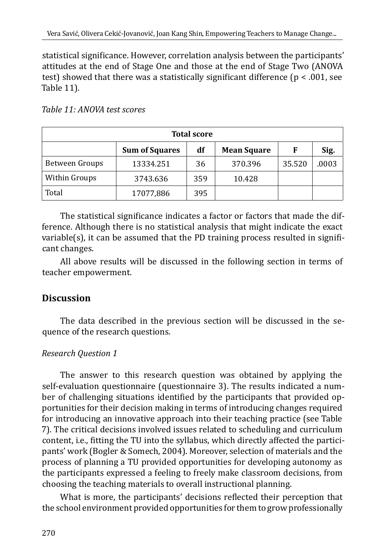statistical significance. However, correlation analysis between the participants' attitudes at the end of Stage One and those at the end of Stage Two (ANOVA test) showed that there was a statistically significant difference ( $p < .001$ , see Table 11).

| <b>Total score</b>                                             |           |     |         |        |       |  |  |
|----------------------------------------------------------------|-----------|-----|---------|--------|-------|--|--|
| df<br>Sig.<br><b>Sum of Squares</b><br><b>Mean Square</b><br>F |           |     |         |        |       |  |  |
| Between Groups                                                 | 13334.251 | 36  | 370.396 | 35.520 | .0003 |  |  |
| Within Groups                                                  | 3743.636  | 359 | 10.428  |        |       |  |  |
| Total                                                          | 17077,886 | 395 |         |        |       |  |  |

*Table 11: ANOVA test scores*

The statistical significance indicates a factor or factors that made the difference. Although there is no statistical analysis that might indicate the exact variable(s), it can be assumed that the PD training process resulted in significant changes.

All above results will be discussed in the following section in terms of teacher empowerment.

# **Discussion**

The data described in the previous section will be discussed in the sequence of the research questions.

# *Research Question 1*

The answer to this research question was obtained by applying the self-evaluation questionnaire (questionnaire 3). The results indicated a number of challenging situations identified by the participants that provided opportunities for their decision making in terms of introducing changes required for introducing an innovative approach into their teaching practice (see Table 7). The critical decisions involved issues related to scheduling and curriculum content, i.e., fitting the TU into the syllabus, which directly affected the participants' work (Bogler & Somech, 2004). Moreover, selection of materials and the process of planning a TU provided opportunities for developing autonomy as the participants expressed a feeling to freely make classroom decisions, from choosing the teaching materials to overall instructional planning.

What is more, the participants' decisions reflected their perception that the school environment provided opportunities for them to grow professionally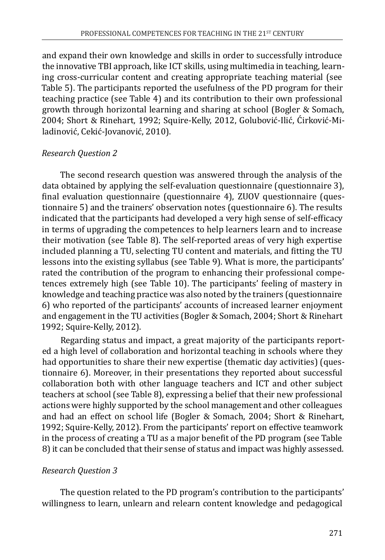and expand their own knowledge and skills in order to successfully introduce the innovative TBI approach, like ICT skills, using multimedia in teaching, learning cross-curricular content and creating appropriate teaching material (see Table 5). The participants reported the usefulness of the PD program for their teaching practice (see Table 4) and its contribution to their own professional growth through horizontal learning and sharing at school (Bogler & Somach, 2004; Short & Rinehart, 1992; Squire-Kelly, 2012, Golubović-Ilić, Ćirković-Miladinović, Cekić-Jovanović, 2010).

#### *Research Question 2*

The second research question was answered through the analysis of the data obtained by applying the self-evaluation questionnaire (questionnaire 3), final evaluation questionnaire (questionnaire 4), ZUOV questionnaire (questionnaire 5) and the trainers' observation notes (questionnaire 6). The results indicated that the participants had developed a very high sense of self-efficacy in terms of upgrading the competences to help learners learn and to increase their motivation (see Table 8). The self-reported areas of very high expertise included planning a TU, selecting TU content and materials, and fitting the TU lessons into the existing syllabus (see Table 9). What is more, the participants' rated the contribution of the program to enhancing their professional competences extremely high (see Table 10). The participants' feeling of mastery in knowledge and teaching practice was also noted by the trainers (questionnaire 6) who reported of the participants' accounts of increased learner enjoyment and engagement in the TU activities (Bogler & Somach, 2004; Short & Rinehart 1992; Squire-Kelly, 2012).

Regarding status and impact, a great majority of the participants reported a high level of collaboration and horizontal teaching in schools where they had opportunities to share their new expertise (thematic day activities) (questionnaire 6). Moreover, in their presentations they reported about successful collaboration both with other language teachers and ICT and other subject teachers at school (see Table 8), expressing a belief that their new professional actions were highly supported by the school management and other colleagues and had an effect on school life (Bogler & Somach, 2004; Short & Rinehart, 1992; Squire-Kelly, 2012). From the participants' report on effective teamwork in the process of creating a TU as a major benefit of the PD program (see Table 8) it can be concluded that their sense of status and impact was highly assessed.

#### *Research Question 3*

The question related to the PD program's contribution to the participants' willingness to learn, unlearn and relearn content knowledge and pedagogical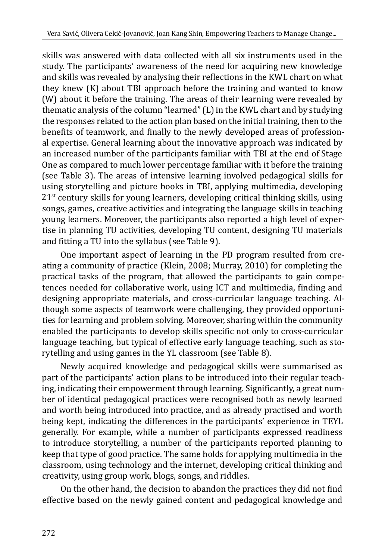skills was answered with data collected with all six instruments used in the study. The participants' awareness of the need for acquiring new knowledge and skills was revealed by analysing their reflections in the KWL chart on what they knew (K) about TBI approach before the training and wanted to know (W) about it before the training. The areas of their learning were revealed by thematic analysis of the column "learned" (L) in the KWL chart and by studying the responses related to the action plan based on the initial training, then to the benefits of teamwork, and finally to the newly developed areas of professional expertise. General learning about the innovative approach was indicated by an increased number of the participants familiar with TBI at the end of Stage One as compared to much lower percentage familiar with it before the training (see Table 3). The areas of intensive learning involved pedagogical skills for using storytelling and picture books in TBI, applying multimedia, developing  $21<sup>st</sup>$  century skills for young learners, developing critical thinking skills, using songs, games, creative activities and integrating the language skills in teaching young learners. Moreover, the participants also reported a high level of expertise in planning TU activities, developing TU content, designing TU materials and fitting a TU into the syllabus (see Table 9).

One important aspect of learning in the PD program resulted from creating a community of practice (Klein, 2008; Murray, 2010) for completing the practical tasks of the program, that allowed the participants to gain competences needed for collaborative work, using ICT and multimedia, finding and designing appropriate materials, and cross-curricular language teaching. Although some aspects of teamwork were challenging, they provided opportunities for learning and problem solving. Moreover, sharing within the community enabled the participants to develop skills specific not only to cross-curricular language teaching, but typical of effective early language teaching, such as storytelling and using games in the YL classroom (see Table 8).

Newly acquired knowledge and pedagogical skills were summarised as part of the participants' action plans to be introduced into their regular teaching, indicating their empowerment through learning. Significantly, a great number of identical pedagogical practices were recognised both as newly learned and worth being introduced into practice, and as already practised and worth being kept, indicating the differences in the participants' experience in TEYL generally. For example, while a number of participants expressed readiness to introduce storytelling, a number of the participants reported planning to keep that type of good practice. The same holds for applying multimedia in the classroom, using technology and the internet, developing critical thinking and creativity, using group work, blogs, songs, and riddles.

On the other hand, the decision to abandon the practices they did not find effective based on the newly gained content and pedagogical knowledge and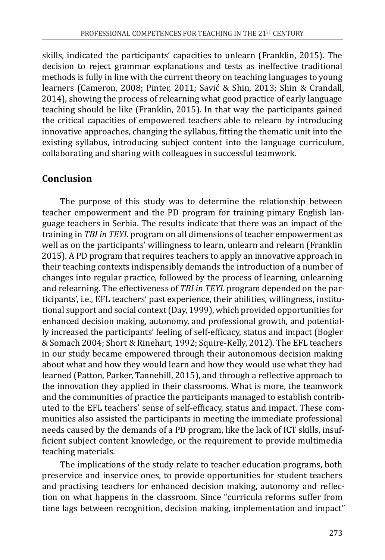skills, indicated the participants' capacities to unlearn (Franklin, 2015). The decision to reject grammar explanations and tests as ineffective traditional methods is fully in line with the current theory on teaching languages to young learners (Cameron, 2008; Pinter, 2011; Savić & Shin, 2013; Shin & Crandall, 2014), showing the process of relearning what good practice of early language teaching should be like (Franklin, 2015). In that way the participants gained the critical capacities of empowered teachers able to relearn by introducing innovative approaches, changing the syllabus, fitting the thematic unit into the existing syllabus, introducing subject content into the language curriculum, collaborating and sharing with colleagues in successful teamwork.

# **Conclusion**

The purpose of this study was to determine the relationship between teacher empowerment and the PD program for training pimary English language teachers in Serbia. The results indicate that there was an impact of the training in *TBI in TEYL* program on all dimensions of teacher empowerment as well as on the participants' willingness to learn, unlearn and relearn (Franklin 2015). A PD program that requires teachers to apply an innovative approach in their teaching contexts indispensibly demands the introduction of a number of changes into regular practice, followed by the process of learning, unlearning and relearning. The effectiveness of *TBI in TEYL* program depended on the participants', i.e., EFL teachers' past experience, their abilities, willingness, institutional support and social context (Day, 1999), which provided opportunities for enhanced decision making, autonomy, and professional growth, and potentially increased the participants' feeling of self-efficacy, status and impact (Bogler & Somach 2004; Short & Rinehart, 1992; Squire-Kelly, 2012). The EFL teachers in our study became empowered through their autonomous decision making about what and how they would learn and how they would use what they had learned (Patton, Parker, Tannehill, 2015), and through a reflective approach to the innovation they applied in their classrooms. What is more, the teamwork and the communities of practice the participants managed to establish contributed to the EFL teachers' sense of self-efficacy, status and impact. These communities also assisted the participants in meeting the immediate professional needs caused by the demands of a PD program, like the lack of ICT skills, insufficient subject content knowledge, or the requirement to provide multimedia teaching materials.

The implications of the study relate to teacher education programs, both preservice and inservice ones, to provide opportunities for student teachers and practising teachers for enhanced decision making, autonomy and reflection on what happens in the classroom. Since "curricula reforms suffer from time lags between recognition, decision making, implementation and impact"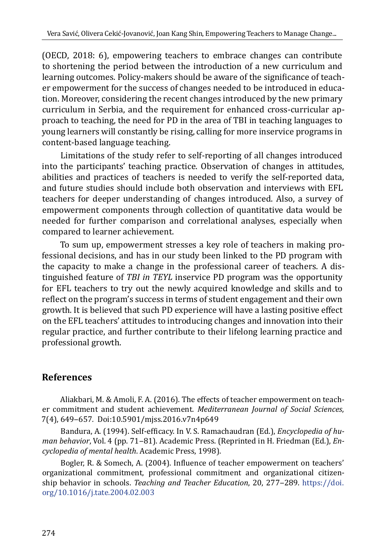(OECD, 2018: 6), empowering teachers to embrace changes can contribute to shortening the period between the introduction of a new curriculum and learning outcomes. Policy-makers should be aware of the significance of teacher empowerment for the success of changes needed to be introduced in education. Moreover, considering the recent changes introduced by the new primary curriculum in Serbia, and the requirement for enhanced cross-curricular approach to teaching, the need for PD in the area of TBI in teaching languages to young learners will constantly be rising, calling for more inservice programs in content-based language teaching.

Limitations of the study refer to self-reporting of all changes introduced into the participants' teaching practice. Observation of changes in attitudes, abilities and practices of teachers is needed to verify the self-reported data, and future studies should include both observation and interviews with EFL teachers for deeper understanding of changes introduced. Also, a survey of empowerment components through collection of quantitative data would be needed for further comparison and correlational analyses, especially when compared to learner achievement.

To sum up, empowerment stresses a key role of teachers in making professional decisions, and has in our study been linked to the PD program with the capacity to make a change in the professional career of teachers. A distinguished feature of *TBI in TEYL* inservice PD program was the opportunity for EFL teachers to try out the newly acquired knowledge and skills and to reflect on the program's success in terms of student engagement and their own growth. It is believed that such PD experience will have a lasting positive effect on the EFL teachers' attitudes to introducing changes and innovation into their regular practice, and further contribute to their lifelong learning practice and professional growth.

# **References**

Aliakbari, M. & Amoli, F. A. (2016). The effects of teacher empowerment on teacher commitment and student achievement. *Mediterranean Journal of Social Sciences*, 7(4), 649‒657*.* Doi:10.5901/mjss.2016.v7n4p649

Bandura, A. (1994). Self-efficacy. In V. S. Ramachaudran (Ed.), *Encyclopedia of hu*man behavior, Vol. 4 (pp. 71–81). Academic Press. (Reprinted in H. Friedman (Ed.), *Encyclopedia of mental health*. Academic Press, 1998).

Bogler, R. & Somech, A. (2004). Influence of teacher empowerment on teachers' organizational commitment, professional commitment and organizational citizenship behavior in schools. *Teaching and Teacher Education*, 20, 277-289. [https://doi.](https://doi.org/10.1016/j.tate.2004.02.003) [org/10.1016/j.tate.2004.02.003](https://doi.org/10.1016/j.tate.2004.02.003)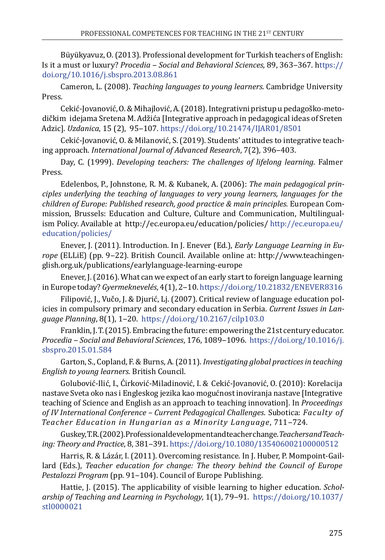Büyükyavuz, O. (2013). Professional development for Turkish teachers of English: Is it a must or luxury? *Procedia ‒ Social and Behavioral Sciences*, 89, 363‒367. [https://](https://doi.org/10.1016/j.sbspro.2013.08.861) [doi.org/10.1016/j.sbspro.2013.08.861](https://doi.org/10.1016/j.sbspro.2013.08.861) 

Cameron, L. (2008). *Teaching languages to young learners*. Cambridge University Press.

Cekić-Jovanović, O. & Mihajlović, A. (2018). Integrativni pristup u pedagoško-metodičkim idejama Sretena M. Adžića [Integrative approach in pedagogical ideas of Sreten Adzic]. *Uzdanica*, 15 (2), 95‒107.<https://doi.org/10.21474/IJAR01/8501>

Cekić-Jovanović, O. & Milanović, S. (2019). Students' attitudes to integrative teaching approach. *International Journal of Advanced Research*, 7(2), 396‒403.

Day, C. (1999). *Developing teachers: The challenges of lifelong learning.* Falmer Press.

Edelenbos, P., Johnstone, R. M. & Kubanek, A. (2006): *The main pedagogical principles underlying the teaching of languages to very young learners, languages for the children of Europe: Published research, good practice & main principles.* European Commission, Brussels: Education and Culture, Culture and Communication, Multilingualism Policy. Available at [http://ec.europa.eu/education/policies/ http://ec.europa.eu/](http://ec.europa.eu/education/policies/) [education/policies/](http://ec.europa.eu/education/policies/)

Enever, J. (2011). Introduction. In J. Enever (Ed.), *Early Language Learning in Europe* (ELLiE) (pp. 9‒22). British Council. Available online at: [http://www.teachingen](http://www.teachingenglish.org.uk/publications/earlylanguage-learning-europe)[glish.org.uk/publications/earlylanguage-learning-europe](http://www.teachingenglish.org.uk/publications/earlylanguage-learning-europe)

Enever, J. (2016). What can we expect of an early start to foreign language learning in Europe today? *Gyermeknevelés*, 4(1), 2‒10.<https://doi.org/10.21832/ENEVER8316>

Filipović, J., Vučo, J. & Djurić, Lj. (2007). Critical review of language education policies in compulsory primary and secondary education in Serbia. *Current Issues in Language Planning*, 8(1), 1‒20. <https://doi.org/10.2167/cilp103.0>

Franklin, J. T. (2015). Embracing the future: empowering the 21st century educator. *Procedia ‒ Social and Behavioral Sciences*, 176, 1089‒1096. [https://doi.org/10.1016/j.](https://doi.org/10.1016/j.sbspro.2015.01.584) [sbspro.2015.01.584](https://doi.org/10.1016/j.sbspro.2015.01.584)

Garton, S., Copland, F. & Burns, A. (2011). *Investigating global practices in teaching English to young learners.* British Council.

Golubović-Ilić, I., Ćirković-Miladinović, I. & Cekić-Jovanović, O. (2010): Korelacija nastave Sveta oko nas i Engleskog jezika kao mogućnost inoviranja nastave [Integrative teaching of Science and English as an approach to teaching innovation]. In *Proceedings of IV International Conference – Current Pedagogical Challenges*. Subotica: *Faculty of Teacher Education in Hungarian as a Minority Language*, 711‒724.

Guskey, T. R. (2002). Professional development and teacher change. *Teachers and Teaching: Theory and Practice*, 8, 381‒391.<https://doi.org/10.1080/135406002100000512>

Harris, R. & Lázár, I. (2011). Overcoming resistance. In J. Huber, P. Mompoint-Gaillard (Eds.), *Teacher education for change: The theory behind the Council of Europe Pestalozzi Program (pp. 91-104). Council of Europe Publishing.* 

Hattie, J. (2015). The applicability of visible learning to higher education. *Scholarship of Teaching and Learning in Psychology*, 1(1), 79‒91. [https://doi.org/10.1037/](https://doi.org/10.1037/stl0000021) [stl0000021](https://doi.org/10.1037/stl0000021)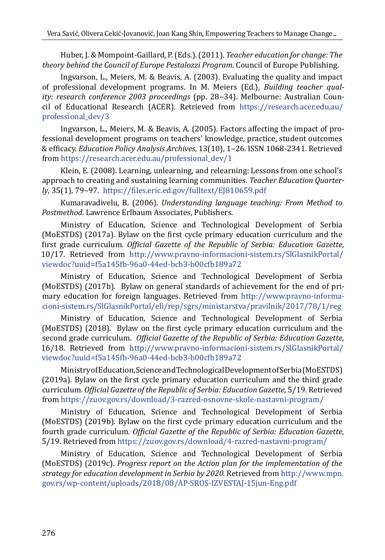Huber, J. & Mompoint-Gaillard, P. (Eds.). (2011). *Teacher education for change: The theory behind the Council of Europe Pestalozzi Program.* Council of Europe Publishing.

Ingvarson, L., Meiers, M. & Beavis, A. (2003). Evaluating the quality and impact of professional development programs. In M. Meiers (Ed.), *Building teacher quality: research conference 2003 proceedings* (pp. 28‒34). Melbourne: Australian Council of Educational Research (ACER). Retrieved from [https://research.acer.edu.au/](https://research.acer.edu.au/professional_dev/3) [professional\\_dev/3](https://research.acer.edu.au/professional_dev/3)

Ingvarson, L., Meiers, M. & Beavis, A. (2005). Factors affecting the impact of professional development programs on teachers' knowledge, practice, student outcomes & efficacy. *Education Policy Analysis Archives*, 13(10), 1‒26. ISSN 1068-2341. Retrieved from [https://research.acer.edu.au/professional\\_dev/1](https://research.acer.edu.au/professional_dev/1)

Klein, E. (2008). Learning, unlearning, and relearning: Lessons from one school's approach to creating and sustaining learning communities. *Teacher Education Quarterly*, 35(1), 79‒97*.* <https://files.eric.ed.gov/fulltext/EJ810659.pdf>

Kumaravadivelu, B. (2006). *Understanding language teaching: From Method to Postmethod.* Lawrence Erlbaum Associates, Publishers.

Ministry of Education, Science and Technological Development of Serbia (MoESTDS) (2017a). Bylaw on the first cycle primary education curriculum and the first grade curriculum*. Official Gazette of the Republic of Serbia: Education Gazette*, 10/17. Retrieved from [http://www.pravno-informacioni-sistem.rs/SlGlasnikPortal/](http://www.pravno-informacioni-sistem.rs/SlGlasnikPortal/viewdoc?uuid=f5a145fb-96a0-44ed-bcb3-b00cfb189a72) [viewdoc?uuid=f5a145fb-96a0-44ed-bcb3-b00cfb189a72](http://www.pravno-informacioni-sistem.rs/SlGlasnikPortal/viewdoc?uuid=f5a145fb-96a0-44ed-bcb3-b00cfb189a72)

Ministry of Education, Science and Technological Development of Serbia (MoESTDS) (2017b). Bylaw on general standards of achievement for the end of primary education for foreign languages. Retrieved from [http://www.pravno-informa](%20http://www.pravno-informacioni-sistem.rs/SlGlasnikPortal/eli/rep/sgrs/ministarstva/pravilnik/2017/78/1/reg)[cioni-sistem.rs/SlGlasnikPortal/eli/rep/sgrs/ministarstva/pravilnik/2017/78/1/reg](%20http://www.pravno-informacioni-sistem.rs/SlGlasnikPortal/eli/rep/sgrs/ministarstva/pravilnik/2017/78/1/reg)

Ministry of Education, Science and Technological Development of Serbia (MoESTDS) (2018). Bylaw on the first cycle primary education curriculum and the second grade curriculum*. Official Gazette of the Republic of Serbia: Education Gazette*, 16/18. Retrieved from [http://www.pravno-informacioni-sistem.rs/SlGlasnikPortal/](http://www.pravno-informacioni-sistem.rs/SlGlasnikPortal/viewdoc?uuid=f5a145fb-96a0-44ed-bcb3-b00cfb189a72) [viewdoc?uuid=f5a145fb-96a0-44ed-bcb3-b00cfb189a72](http://www.pravno-informacioni-sistem.rs/SlGlasnikPortal/viewdoc?uuid=f5a145fb-96a0-44ed-bcb3-b00cfb189a72)

Ministry of Education, Science and Technological Development of Serbia (MoESTDS) (2019a). Bylaw on the first cycle primary education curriculum and the third grade curriculum*. Official Gazette of the Republic of Serbia: Education Gazette*, 5/19. Retrieved from<https://zuov.gov.rs/download/3-razred-osnovne-skole-nastavni-program/>

Ministry of Education, Science and Technological Development of Serbia (MoESTDS) (2019b). Bylaw on the first cycle primary education curriculum and the fourth grade curriculum*. Official Gazette of the Republic of Serbia: Education Gazette*, 5/19. Retrieved from<https://zuov.gov.rs/download/4-razred-nastavni-program/>

Ministry of Education, Science and Technological Development of Serbia (MoESTDS) (2019c). *Progress report on the Action plan for the implementation of the strategy for education development in Serbia by 2020*. Retrieved from [http://www.mpn.](http://www.mpn.gov.rs/wp-content/uploads/2018/08/AP-SROS-IZVESTAJ-15jun-Eng.pdf) [gov.rs/wp-content/uploads/2018/08/AP-SROS-IZVESTAJ-15jun-Eng.pdf](http://www.mpn.gov.rs/wp-content/uploads/2018/08/AP-SROS-IZVESTAJ-15jun-Eng.pdf)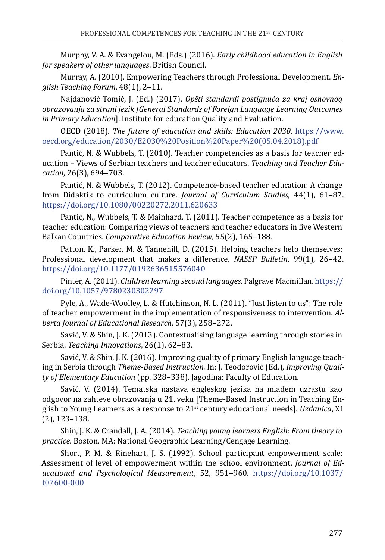Murphy, V. A. & Evangelou, M. (Eds.) (2016). *Early childhood education in English for speakers of other languages*. British Council.

Murray, A. (2010). Empowering Teachers through Professional Development. *English Teaching Forum*, 48(1), 2‒11.

Najdanović Tomić, J. (Ed.) (2017). *Opšti standardi postignuća za kraj osnovnog obrazovanja za strani jezik [General Standards of Foreign Language Learning Outcomes in Primary Education*]. Institute for education Quality and Evaluation.

OECD (2018). *The future of education and skills: Education 2030*. [https://www.](https://www.oecd.org/education/2030/E2030%20Position%20Paper%20(05.04.2018).pdf) [oecd.org/education/2030/E2030%20Position%20Paper%20\(05.04.2018\).pdf](https://www.oecd.org/education/2030/E2030%20Position%20Paper%20(05.04.2018).pdf)

Pantić, N. & Wubbels, T. (2010). Teacher competencies as a basis for teacher education ‒ Views of Serbian teachers and teacher educators. *Teaching and Teacher Education*, 26(3), 694‒703.

Pantić, N. & Wubbels, T. (2012). Competence-based teacher education: A change from Didaktik to curriculum culture. *Journal of Curriculum Studies*, 44(1), 61-87. <https://doi.org/10.1080/00220272.2011.620633>

Pantić, N., Wubbels, T. & Mainhard, T. (2011). Teacher competence as a basis for teacher education: Comparing views of teachers and teacher educators in five Western Balkan Countries. *Comparative Education Review*, 55(2), 165-188.

Patton, K., Parker, M. & Tannehill, D. (2015). Helping teachers help themselves: Professional development that makes a difference. *NASSP Bulletin*, 99(1), 26-42. <https://doi.org/10.1177/0192636515576040>

Pinter, A. (2011). *Children learning second languages*. Palgrave Macmillan. [https://](https://doi.org/10.1057/9780230302297) [doi.org/10.1057/9780230302297](https://doi.org/10.1057/9780230302297)

Pyle, A., Wade-Woolley, L. & Hutchinson, N. L. (2011). "Just listen to us": The role of teacher empowerment in the implementation of responsiveness to intervention. *Alberta Journal of Educational Research*, 57(3), 258‒272.

Savić, V. & Shin, J. K. (2013). Contextualising language learning through stories in Serbia. *Teaching Innovations*, 26(1), 62-83.

Savić, V. & Shin, J. K. (2016). Improving quality of primary English language teaching in Serbia through *Theme-Based Instruction.* In: J. Teodorović (Ed.), *Improving Quality of Elementary Education* (pp. 328‒338). Jagodina: Faculty of Education.

Savić, V. (2014). Tematska nastava engleskog jezika na mlađem uzrastu kao odgovor na zahteve obrazovanja u 21. veku [Theme-Based Instruction in Teaching English to Young Learners as a response to 21st century educational needs]. *Uzdanica*, XI (2), 123–138.

Shin, J. K. & Crandall, J. A. (2014). *Teaching young learners English: From theory to practice*. Boston, MA: National Geographic Learning/Cengage Learning.

Short, P. M. & Rinehart, J. S. (1992). School participant empowerment scale: Assessment of level of empowerment within the school environment. *Journal of Educational and Psychological Measurement*, 52, 951‒960. [https://doi.org/10.1037/](https://doi.org/10.1037/t07600-000) [t07600-000](https://doi.org/10.1037/t07600-000)